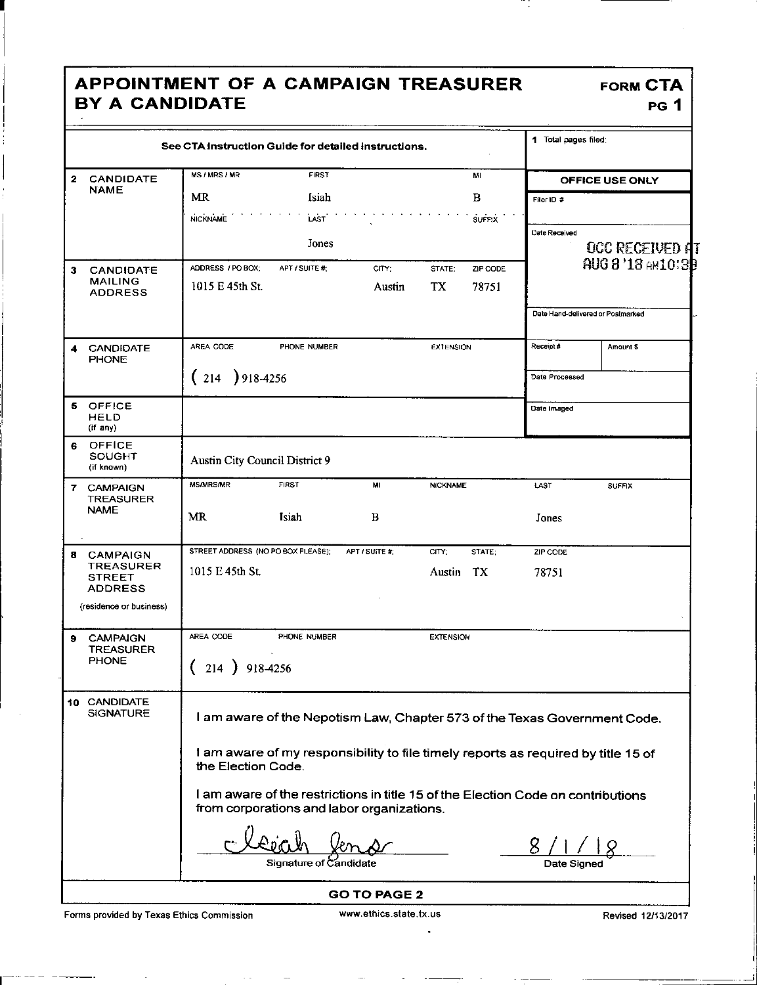## **APPOINTMENT OF A CAMPAIGN TREASURER B Y A CANDIDATE**

| See CTA Instruction Guide for detailed instructions. |                                                                                                                                |                        |                 |                  | 1 Total pages filed: |                |                                     |  |
|------------------------------------------------------|--------------------------------------------------------------------------------------------------------------------------------|------------------------|-----------------|------------------|----------------------|----------------|-------------------------------------|--|
| $\overline{\mathbf{2}}$<br><b>CANDIDATE</b>          | MS / MRS / MR                                                                                                                  | <b>FIRST</b>           |                 |                  | MI                   |                | OFFICE USE ONLY                     |  |
| <b>NAME</b>                                          | <b>MR</b>                                                                                                                      | Isiah                  |                 |                  | B                    | Filer ID #     |                                     |  |
|                                                      | <b>NICKNAME</b>                                                                                                                | LAST                   |                 |                  | <b>SUFFIX</b>        |                |                                     |  |
|                                                      |                                                                                                                                | Jones                  |                 |                  |                      | Date Received  |                                     |  |
|                                                      |                                                                                                                                |                        |                 |                  |                      |                | OCC RECEIVED AT<br>AUG 8'18 AM10:3B |  |
| <b>CANDIDATE</b><br>3<br><b>MAILING</b>              | ADDRESS / PO BOX:<br>1015 E 45th St.                                                                                           | APT / SUITE #:         | CITY;<br>Austin | STATE;<br>TX.    | ZIP CODE<br>78751    |                |                                     |  |
| <b>ADDRESS</b>                                       |                                                                                                                                |                        |                 |                  |                      |                |                                     |  |
|                                                      |                                                                                                                                |                        |                 |                  |                      |                | Date Hand-delivered or Postmarked   |  |
| <b>CANDIDATE</b><br>4<br><b>PHONE</b>                | AREA CODE                                                                                                                      | <b>PHONE NUMBER</b>    |                 | <b>EXTENSION</b> |                      | Receipt#       | Amount \$                           |  |
|                                                      | $(214)918-4256$                                                                                                                |                        |                 |                  |                      | Date Processed |                                     |  |
| OFFICE<br>5.<br>HELD<br>(if any)                     |                                                                                                                                |                        |                 |                  |                      | Date Imaged    |                                     |  |
| <b>OFFICE</b><br>6.<br>SOUGHT<br>(if known)          | Austin City Council District 9                                                                                                 |                        |                 |                  |                      |                |                                     |  |
| 7 CAMPAIGN<br><b>TREASURER</b>                       | <b>MS/MRS/MR</b>                                                                                                               | <b>FIRST</b>           | MI              | <b>NICKNAME</b>  |                      | LAST           | <b>SUFFIX</b>                       |  |
| <b>NAME</b>                                          | <b>MR</b>                                                                                                                      | <b>Isiah</b>           | B               |                  |                      | Jones          |                                     |  |
| 8 CAMPAIGN                                           | STREET ADDRESS (NO PO BOX PLEASE);                                                                                             |                        | APT / SUITE #:  | CITY;            | STATE:               | ZIP CODE       |                                     |  |
| <b>TREASURER</b><br><b>STREET</b><br><b>ADDRESS</b>  | 1015 E 45th St.                                                                                                                |                        |                 | Austin TX        |                      | 78751          |                                     |  |
| (residence or business)                              |                                                                                                                                |                        |                 |                  |                      |                |                                     |  |
| <b>CAMPAIGN</b><br>9.                                | AREA CODE                                                                                                                      | PHONE NUMBER           |                 | <b>EXTENSION</b> |                      |                |                                     |  |
| <b>TREASURER</b><br><b>PHONE</b>                     | 214                                                                                                                            | 918-4256               |                 |                  |                      |                |                                     |  |
|                                                      |                                                                                                                                |                        |                 |                  |                      |                |                                     |  |
| 10 CANDIDATE<br><b>SIGNATURE</b>                     | I am aware of the Nepotism Law, Chapter 573 of the Texas Government Code.                                                      |                        |                 |                  |                      |                |                                     |  |
|                                                      | I am aware of my responsibility to file timely reports as required by title 15 of<br>the Election Code.                        |                        |                 |                  |                      |                |                                     |  |
|                                                      | I am aware of the restrictions in title 15 of the Election Code on contributions<br>from corporations and labor organizations. |                        |                 |                  |                      |                |                                     |  |
|                                                      |                                                                                                                                |                        |                 |                  |                      |                |                                     |  |
|                                                      |                                                                                                                                | Signature of Candidate |                 |                  |                      | Date Signed    |                                     |  |

Forms provided by Texas Ethics Commission www.ethics.state.tx.us Revised 12/13/2017

 $\ddot{\phantom{a}}$ 

| <b>FORM CTA</b> |             |
|-----------------|-------------|
|                 | <b>PG 1</b> |